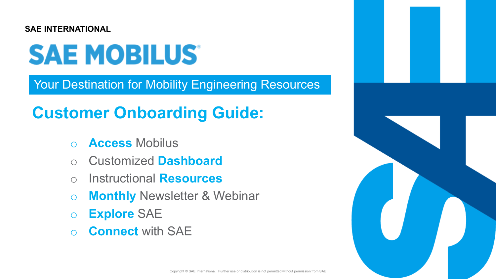#### **SAE INTERNATIONAL**

# **SAE MOBILUS®**

Your Destination for Mobility Engineering Resources

### **Customer Onboarding Guide:**

- **Access** Mobilus
- **Customized Dashboard**
- o Instructional **Resources**
- o **Monthly** Newsletter & Webinar
- o **Explore** SAE
- o **Connect** with SAE

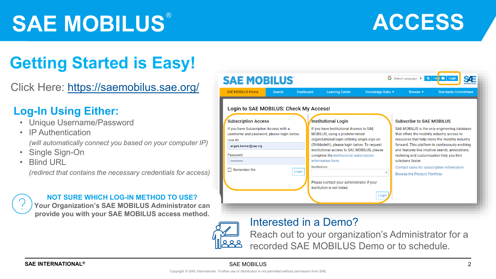### **ACCESS**

### **Getting Started is Easy!**

Click Here:<https://saemobilus.sae.org/>

### **Log-In Using Either:**

- Unique Username/Password
- IP Authentication *(will automatically connect you based on your computer IP)*
- Single Sign-On
- Blind URL

*(redirect that contains the necessary credentials for access)*

**NOT SURE WHICH LOG-IN METHOD TO USE?**

**Your Organization's SAE MOBILUS Administrator can provide you with your SAE MOBILUS access method.**





### Interested in a Demo?

Reach out to your organization's Administrator for a recorded SAE MOBILUS Demo or to schedule.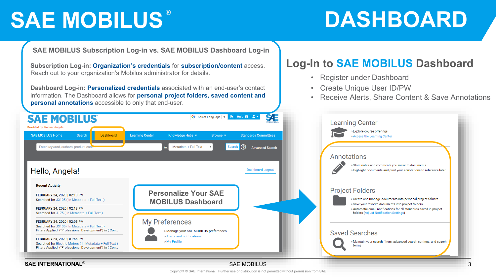## SAE MOBILUS<sup>®</sup>

## **DASHBOARD**



#### **SAE INTERNATIONAL®**

SAE MOBILUS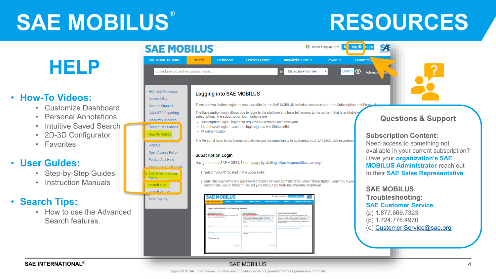## **RESOURCES**

### • **How-To Videos:**

- Customize Dashboard
- Personal Annotations

**HELP**

- Intuitive Saved Search
- 2D-3D Configurator
- Favorites

### • **User Guides:**

- Step-by-Step Guides
- Instruction Manuals

### • **Search Tips:**

• How to use the Advanced Search features.

| <b>SAE MOBILUS</b>                                                                                            |                                                                                                                                                                                                                                                                                                                                                                                                                                                                                                                                                                                                                                                                                                                                                                        |                                                                                  | G Select Language   v   S   | Help <sup>O</sup><br>Login   | SÆ               |                                                                                                                                           |  |  |
|---------------------------------------------------------------------------------------------------------------|------------------------------------------------------------------------------------------------------------------------------------------------------------------------------------------------------------------------------------------------------------------------------------------------------------------------------------------------------------------------------------------------------------------------------------------------------------------------------------------------------------------------------------------------------------------------------------------------------------------------------------------------------------------------------------------------------------------------------------------------------------------------|----------------------------------------------------------------------------------|-----------------------------|------------------------------|------------------|-------------------------------------------------------------------------------------------------------------------------------------------|--|--|
| <b>SAF MOBILUS Home</b>                                                                                       | Dashboard<br><b>Search</b>                                                                                                                                                                                                                                                                                                                                                                                                                                                                                                                                                                                                                                                                                                                                             | <b>Learning Center</b>                                                           | Knowledge Hubs -            | Browse $\blacktriangleright$ | <b>Standards</b> |                                                                                                                                           |  |  |
| Enter keyword, authors, product code                                                                          |                                                                                                                                                                                                                                                                                                                                                                                                                                                                                                                                                                                                                                                                                                                                                                        |                                                                                  | Metadata + Full Text<br>in: | Search                       | (?)<br>Advance.  |                                                                                                                                           |  |  |
| <b>Help and Resources</b><br>Accessibility                                                                    | <b>Logging into SAE MOBILUS</b>                                                                                                                                                                                                                                                                                                                                                                                                                                                                                                                                                                                                                                                                                                                                        |                                                                                  |                             |                              |                  |                                                                                                                                           |  |  |
| <b>Contact Support</b><br><b>COUNTER Reporting</b><br><b>Discovery Services</b><br><b>Google Translations</b> | There are two distinct login options available for the SAE MOBILUS technical resource platform: Subscription and Personal<br>The Subscription login allows you to login to the platform and have full access to the content that is available v<br>subscription. The subscription login options are:<br>· Subscription Login - login that requires a username and password<br>• Institutional Login - used for single sign-on (via Shibboleth)<br>• IP Authentication<br>The Personal login to the Dashboard allows you the opportunity to customize your SAE MOBILUS experience                                                                                                                                                                                       |                                                                                  |                             |                              |                  | <b>Questions &amp; Support</b><br><b>Subscription Content:</b><br>Need access to something not<br>available in your current subscription? |  |  |
| How-To Videos<br>Sign-Up                                                                                      |                                                                                                                                                                                                                                                                                                                                                                                                                                                                                                                                                                                                                                                                                                                                                                        |                                                                                  |                             |                              |                  |                                                                                                                                           |  |  |
| <b>Open Access Policy</b><br>Portico Archiving<br>Promote SAE MOBILLIS                                        | <b>Subscription Login</b><br>Navigate to the SAE MOBILUS homepage by visiting https://saemobilus.sae.org/                                                                                                                                                                                                                                                                                                                                                                                                                                                                                                                                                                                                                                                              |                                                                                  |                             |                              |                  | Have your organization's SAE<br><b>MOBILUS Administrator reach out</b>                                                                    |  |  |
| <b>SAE MOBILUS User</b><br><b>Guide</b><br>Search Tips<br>Search Widget                                       | 1. Select "LOGIN" located in the upper right.<br>to their SAE Sales Representative.<br>2. Enter the username and password provided by your administrator under "Subscription Login" or, if you<br>credentials (via Shibboleth), select your Institution from the available dropdown<br><b>SAE MOBILUS</b>                                                                                                                                                                                                                                                                                                                                                                                                                                                              |                                                                                  |                             |                              |                  |                                                                                                                                           |  |  |
| the <b>Pregistry</b>                                                                                          | <b>SAE MOBILUS</b><br>SEARCH DASHROAD<br>Login to SAE MOBILUS: Check My Access!<br><b>211 USON TAX AT WEIGHT</b><br><b>Subscription Access</b><br>Institutional Login<br>If you have Subscription Access with a username and<br>password, please login below.<br>f you have institutional Access to SAE MOBILUS, using a<br>predetermined organizational login utilizing single-sign-<br>on (Shibboart), please login below, Toreguest<br>institutional access to SAE MOBILUS, please complete<br>All MOBILIS is the only engineering:<br>- we mobility industry accessing cataliase that<br>The mobility industry forward. This platform is<br>fusively evelying and features like intuitive search,<br>Yoons, rediming and sustainables help you find<br>The faster. |                                                                                  |                             |                              |                  | <b>Troubleshooting:</b><br><b>SAE Customer Service:</b><br>(p) 1.877.606.7323<br>(p) 1.724.776.4970                                       |  |  |
|                                                                                                               | Femenber Me                                                                                                                                                                                                                                                                                                                                                                                                                                                                                                                                                                                                                                                                                                                                                            | -<br>Please obritect your administrator if your institution is<br>LOGIN<br>LOGIN |                             |                              |                  | (e) Customer.Service@sae.org                                                                                                              |  |  |

#### **SAE INTERNATIONAL®**

#### SAE MOBILUS

Copyright © SAE International. Further use or distribution is not permitted without permission from SAE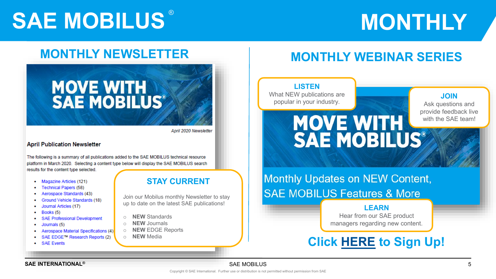## **MONTHLY**

# **MOVE WITH<br>SAE MOBILUS®**

April 2020 Newsletter

#### **April Publication Newsletter**

The following is a summary of all publications added to the SAE MOBILUS technical resource platform in March 2020. Selecting a content type below will display the SAE MOBILUS search results for the content type selected.

- Magazine Articles (121)
- Technical Papers (58)
- Aerospace Standards (43)
- Ground Vehicle Standards (18)
- Journal Articles (17)
- Books (5)
- SAE Professional Development
- $\bullet$  Journals (5)
- Aerospace Material Specifications (4)
- SAE EDGE™ Research Reports (2)  $\bullet$
- SAE Events

#### **STAY CURRENT**

Join our Mobilus monthly Newsletter to stay up to date on the latest SAE publications!

- **NEW** Standards
- o **NEW** Journals
- o **NEW** EDGE Reports
- o **NEW** Media

### **MONTHLY NEWSLETTER MONTHLY WEBINAR SERIES**

### **LISTEN**

What NEW publications are popular in your industry.

**JOIN** 

Ask questions and **MOVE WITH** WITH WITH SAE team! with the SAF team!

### Monthly Updates on NEW Content, **SAE MOBILUS Features & More**

#### **LEARN**

Hear from our SAE product managers regarding new content.

### **Click [HERE](https://saemobilus.sae.org/help/newsletter-webinar/) to Sign Up!**

#### **SAE INTERNATIONAL®**

#### SAE MOBILUS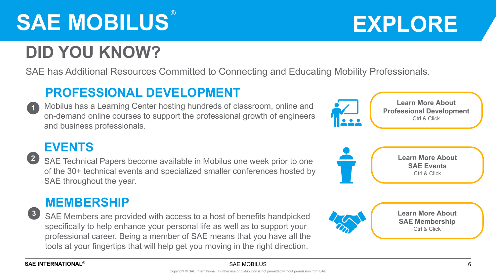## **EXPLORE**

### **DID YOU KNOW?**

SAE has Additional Resources Committed to Connecting and Educating Mobility Professionals.

### **PROFESSIONAL DEVELOPMENT**

- **1**
- Mobilus has a Learning Center hosting hundreds of classroom, online and on-demand online courses to support the professional growth of engineers and business professionals.



**[Learn More About](https://www.sae.org/participate/membership)  SAE Membership** Ctrl & Click

### **EVENTS**

SAE Technical Papers become available in Mobilus one week prior to one of the 30+ technical events and specialized smaller conferences hosted by SAE throughout the year.

### **MEMBERSHIP**

**3**

**2**

SAE Members are provided with access to a host of benefits handpicked specifically to help enhance your personal life as well as to support your professional career. Being a member of SAE means that you have all the tools at your fingertips that will help get you moving in the right direction.